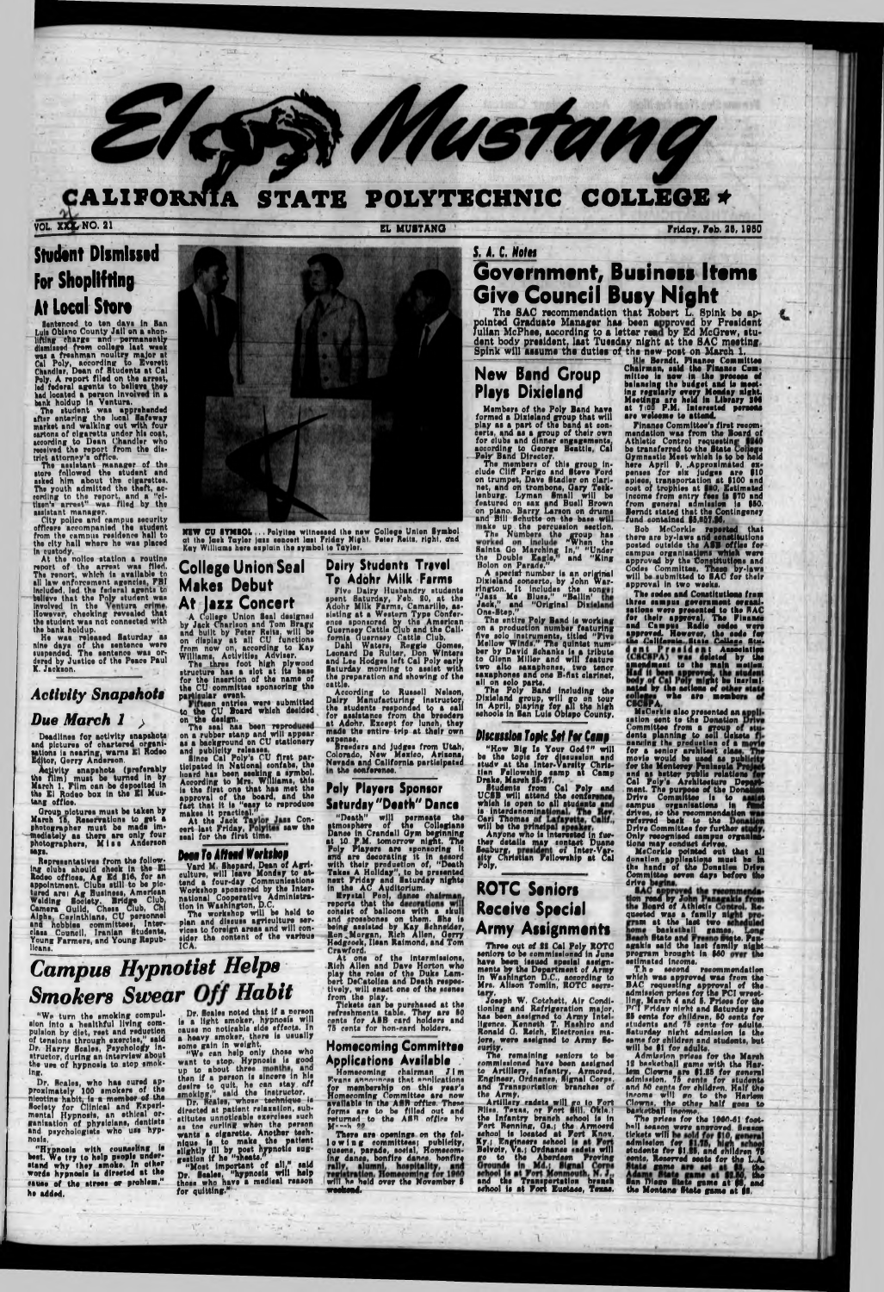### CALIFORNIA STATE POLYTECHNIC COLLEGE \*

VOL. XXX NO. 21

EL MUSTANG

Friday, Feb. 28, 1960

# **Student Dismissed For Shoplifting At Local Store**

**All LUGALE STATE of the Same School of the School (1998)**<br>
1991 Internet County Juli on a shop-<br>
lifting charge and permanently<br>
dimissed from college last weak<br>
was a freshman noultry major at<br>
Cal Poly, according to Eve

trict attorney's office.<br>The assistant manager of the<br>store followed the student and<br>asked him about the cigarettes.<br>The youth admitted the theft, ac-<br>cording to the report, and a "ci-<br>tisen's arrest" was filed by the

neighborhood market.<br>City police and campus security<br>officers accompanied the student<br>from the campus residence hall to<br>the city hall where he was placed

in sustedy.<br>
At the noilce station a routine<br>
report of the arrest was filed.<br>
The renort, which is available to The renort, which is available to<br>all law enforcement agencies, FBI<br>included, led the federal agents to<br>believe that the Poly student was<br>involved in the new resume of the<br>However, checking revealed that<br>the student was no

# **Activity Snapshots**

### Due March 1

Deadlines for activity snapshots<br>and pictures of chartered organisations is nearing, warns El Rodeo<br>Editor, Gerry Anderson.

Activity snapshots (preferably the film) must be turned in by March 1. Film can be deposited in the El Rudeo box in the El Mustang office.

Group pictures must be taken by<br>March 15. Reservations to get a<br>photographer must be made im-<br>mediately as there are only four<br>photographers, Miss Anderson



NEW CU SYMBOL...Polyitse witnessed the new College Union Symbol at the lask Tayler just sencert lust Friday Night. Peter Reits, right, and Kay Williams here explain the symbol to Tayler.

## **College Union Seal Makes Debut** At Jazz Concert

AT JEZZ CONCUTT<br>
A College Union Seal designed<br>
by Jack Charlson and Tom Bragg<br>
and built by Peter Reits, will be<br>
on display at all CU functions<br>
from now on, according to Kay<br>
Williams, Activities Adviser.<br>
The three foo

for the CU committee sponsoring the<br>parklaular event.<br>to the CU committee sponsoring the<br>to the CU Board which desided<br>on the design.<br>The seal has been reproduced<br>on a rubber starp and will appear<br>as a background on CU sta

### **Dairy Students Travel** To Adohr Milk Farms

IO Adonr Milk Parms<br>Five Dairy Husbandry students<br>spent Saturday, Feb. 20, at the<br>Adohr Milk Farms, Camarillo, as-<br>sisting at a Western Type Confer-<br>once sponsored by the American<br>Guerney Cattle Club and the Cali-<br>fornia G

cattle.<br>
According to Russell Nelson,<br>
Dairy Manufacturing instructor,<br>
the students responded to a call<br>
for assistance from the breeders<br>
at Adohr. Except for lunch, they<br>
made the entire trip at their own expense.

speeders and judges from Utah,<br>Colorado, New Mexico, Arisona,<br>Nevada and California participated<br>in the conference.

### **Paly Players Sponsor Saturday "Death" Dance**

"Death" will permeate the stmosphere of the Collegians<br>Dance in Crandall Gym beginning<br>at 10 P.M. tomorrow night. The

# S. A. C. Notes Government, Business Items **Give Council Busy Night**

The SAC recommendation that Robert L. Spink be appointed Graduate Manager has been approved by Fresident<br>Julian McPhee, according to a letter read by Ed McGrew, student body president, last Tuesday night at the SAC meeting

Mustang

Members of the Poly Band have<br>formed a Dixieland group that will<br>play as a part of the band at con-<br>certs, and as a group of their own<br>for clubs and dinner engagements,<br>according to George Beattle, Cal<br>Pely Band Director.<br>

and Bill Benutte on the base will<br>make up the percussion section.<br>The Numbers the group has<br>worked on include "When the<br>Saints Go Marching In," "Under<br>the Double Eagle," and "King<br>Bolon on Parade,"

Boom on Parame.<br>
A special number is an original<br>
Dixieland concerto, by John War-<br>
rington. It includes the songs:<br>
"Jass Me Blues," "Ballin'<br>
Jack," and "Original Dixieland<br>
One-Step,"

One-Step."<br>The entire Poly Band is working<br>on a production number featuring<br>five solo instruments, titled "Five<br>Mellow Winds." The quintet num-<br>ber by David Schanks is a tribute<br>to Gienn Miller and will feature<br>two alto sa

#### **Discussion Topic Set For Camp**

"How Big Is Your God?" will<br>be the topic for discussion and<br>study at the Inter-Varsity Chris-<br>Inn Fellowship samp at Camp<br>Drake, March 85-87.<br>Budents from Cal Poly and<br>UCSB will attend the conference<br>which is open to all s

are welcome to attend.<br>
Finance Committee's first recommendation was from the Board of<br>
Athletic Control requesting \$240<br>
be transferred to the State Contege<br>
Gymnatic Mest which is to be held<br>
here April 9. Approximated e

Final contenue politics.<br>
Bob McCorkle reported that<br>
there are by-laws and constitutions<br>
posted outside the ASB office for<br>
campus organizations which were<br>
approved by the Constitutions and<br>
Codes Committee, These by-la approval in two weeks.

Codes Committed to SAC for their<br>will be authmitted to SAC for their<br>approval in two weeks.<br>The submitted to SAC for their<br>approval in two weeks.<br>Interesting constructed to the RAC<br>and Campus government everal.<br>The Finance

**1678.** 

says.<br>
Representatives from the following clubs should check in the Ell<br>
Redeo offices, Ag Ed 216, for an<br>
Bpointment. Clubs still to be ple-<br>
aged are: Ag Business, American<br>
Welding Bociety. Bridge Club,<br>
Camera Guild, C lleans.

# **Deen To Affend Workshop**

Variation of Arrests were applying to the control of Agriculture, will leave Monday to attend a four-day Communications when we have mational Cooperative Administration in Washington, D.C.<br>The workshop spins and discussion

at 10 P.M. tomorrow night. The<br>Poly Players are uponsoring it<br>and are decorating it in assord<br>with their production of, "Death<br>Takes A Holiday", to be presented<br>next Priday and Esturday nights<br>in the AC Auditorium.<br>in the Crawford.

At one of the intermissions.<br>Rich Allen and Dave Horton who<br>play the roles of the Duke Lam-<br>bert DeCatolies and Death respec-

bert Decatoirs and Duath ruspectively, will enact one of the scenes<br>from the play.<br>Tickets can be purchased at the<br>reshments table. They are 50<br>cents for ABB card holders and<br>75 cents for hon-eard holders.

### **Homecoming Committee Applications Available**

Homecoming chairman Jim<br>Evans announces that applications for membership on this year's<br>Homecoming Committee are now<br>available in the ASB office. These<br>forms are to be filled out and<br>returned to the ASB office by<br>Marsh 22

Mann 72<br>There are openings on the fol-<br>low in g committees; publicity,<br>queens, parade, social, Homecom-<br>ing dance, bonfire dance, bonfire<br>rally, alumni, hospitality, and<br>will he held over the November 5<br>will he held over t weekend.

ther details may sontact Duane<br>Seaburg, the Inter-Variative Christian Fellowship at Call<br>Foly.

## **ROTC Seniors** Receive Special **Army Assignments**

Three out of \$8 Cal Poly ROTO<br>seniors to be commissioned in June<br>have been issued special assignments by the Department of Army<br>in Washington D.C., according to<br>Mrs. Alison Tomlin, ROTC secre-

Mrs. Alison Tomlin, ROTC secre-<br>tary.<br>Joseph W. Cotchett, Air Condi-<br>tioning and Refrigeration major,<br>has been assigned to Army Intel-<br>ligence. Kenneth T. Hashiro and<br>Ronald G. Reich, Electronics majors,<br>torics were assign

romanus C. Moren, Euckholms maintains of the remaining seniors to be commissioned have been assigned<br>to Army Be-<br>emmissional have been assigned<br>to Artillery, Infantry, Armord,<br>Engineer, Ordnance, Signal Corps.<br>and Transpor

agakis said the last family night<br>program brought in \$60<br>ostimated income.<br>The second recommondation<br>which was approved was from the<br>BAC requesting approved or the ECI week-<br>almission prices for the PCI week-<br>ling, March 4

# **Campus Hypnotist Helps Smokers Swear Off Habit**

"We turn the smoking compulsion into a healthful living compulsion by diet, rest and reduction of tensions through exercise," said<br>Dr. Harry Scales, Psychology in-<br>structor, during an interview about the use of hypnosis to stop smok $ln<sub>z</sub>$ .

Dr. Scales, who has cured ap-<br>proximately 100 smokers of the<br>nicotine habit, is a member of the<br>Society for Clinical and Experi-<br>mental Hypnosis, an ethical or-<br>sanisation of physicians, dentists<br>and psychologiats who use hosis

"Hypnosis with counseling is<br>best. We try to help people under-<br>stand why they smoke. In other<br>words hypnosis is directed at the sause of the stress or problem." he added.

Dr. Scales noted that if a norson is a light smoker, hypnosis will

cause no noticable side effects. In<br>a heavy smoker, there is usually<br>some gain in weight.<br>"We can help only those who<br>want to stop. Hypnosis is good<br>up to about three months, and<br>then if a person is sincere in his<br>then if then if a person is sincere in his<br>desire to quit, he can stay off<br>smoking," said the instructor.<br>Dr. Reales, whose technique is<br>directed at patient relaxation, such<br>at toe curling when the person<br>and toe curling when the as toe curling when the person<br>wants a eigerette. Another tech-<br>nique is to make the patient<br>elightly ill by post hypnotic sug-<br>getion if he "theats."<br>"Most important of all," said<br>Dr. Scales, "hypnosis will help<br>these who

state 1  $+ - \frac{1}{2} \mu$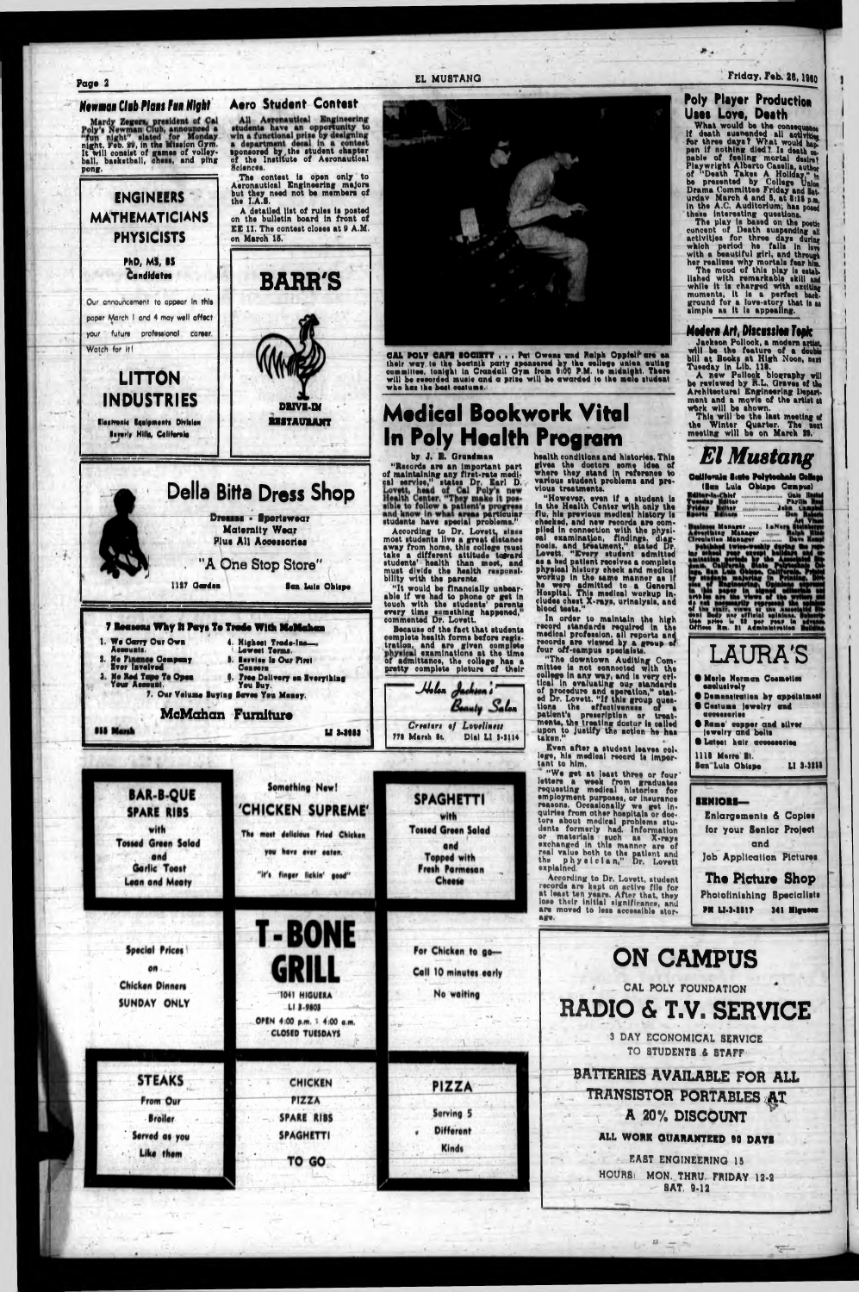Page 2

#### Newman Club Plans Fun Night

**Aero Student Contest** 

All Aeronautical Engineering<br>students have an opportunity to<br>win a functional prize by designing<br>a department decal in a contest<br>sponsored by the student chapter<br>of the Institute of Aeronautical

The most delicious Fried Chicken

Mardy Zegers, president of Cal<br>Poly's Newman Club, announced a<br>"fun night." slated for Monday<br>night. Feb. 99, in the Mission Gym.<br>It will consist of games of volley-<br>ball, basketball, chess, and ping pong.

Sciences. The contest is open only to<br>Aeronautical Engineering majors<br>but they need not be members of<br>the I.A.S. **ENGINEERS** A detailed list of rules is posted<br>on the bulletin board in front of **MATHEMATICIANS** EE 11. The contest closes at 9 A.M. **PHYSICISTS** on March 15. **PhD, MS, BS** Candidates **BARR'S** Our announcement to appear in this paper March 1 and 4 may well affect your future professional career Watch for it! **LITTON INDUSTRIES DRIVE-DI RISTAURANT** Electronic Equipments Division **Barnety Mills, California Della Bitta Dress Shop Dremm - Sportswear** Maternity Wear Plus All Accessories "A One Stop Store" 1127 Garden Sea Luis Obispe 7 Rossons Why It Pays To Trade With McMahan 1. We Carry Our Own 4. Highest Trade-Ins-Accounts. No Finance Company<br>Ever Invelved **Barvion In Our Piret Concern** 3. No Red Tape To Open<br>Your Assount. 6. Free Delivery on Everything<br>You Buy. 7. Our Volume Buying Seves You Money. McMahan Furniture **855 Marsh** 12 3-3053 **Something New! BAR-B-QUE SPARE RIBS** 'CHICKEN SUPREME'

with

#### EL MUSTANG



**CAL POLY CAFE EOCHETY ... Put Owens und Reiph Oppielf are en** their way to the bestail party spensered by the college union outing committee, tonight in Crandall Gym from 9:00 P.M. to midnight. There will be recorded musi who has the best costume.

# **Medical Bookwork Vital** In Poly Health Program

#### by J. B. Grundman

"Records are an important part<br>of maintaining any first-rate medi-<br>and nervice," states Dr. Earl D.<br>Lovett, head of Cal Poly's new<br>Health Center. "They make it possible to follow a particular<br>and know in what area particul

students have special problems."<br>According to Dr. Lovett, since<br>most students live a great distance<br>away from home, this college must<br>take a different attitude to most, and<br>students' health than most, and<br>must divide the h

Because of the fact that students<br>complete health forms before registration, and are given complete<br>physical examinations at the time<br>of admittance, the college has a<br>pretty complete picture of their



**SPAGHETTI** 

with **Tossed Green Salad**  rour off-campus speciality.<br>
"The downtown Auditing Com-<br>
mittee is not connected with the<br>
college in any way, and is very cri-<br>
tical in evaluating our-standards<br>
of procedure and eperation," stat-<br>
ed Dr. Lovett. "If th Even after a student leaves col-<br>lege, his medical record is imper-<br>tant to him.

tant to nim.<br>
"We get at least three or four"<br>
letters a week from graduates<br>
requesting medical histories for<br>
employment purposes, or insurance<br>
reasons. Occasionally we get in-<br>
quiries from other hospitals or doequiries from other hospitals or doe-<br>tors about medical problems stu-<br>dents formerly had. Information<br>or materials such as X-rays<br>exchanged in this manner are of<br>real value both to the patient and<br>the physician," Dr. Lovet

health conditions and histories. This means contained and nuclear and the distribution of the where they stand in reference to various student problems and previous treatments.

vious treatments.<br>
"However, even if a student is<br>
in the Health Center with only the<br>
flu, his provious medical history is<br>
checked, and new records are com-<br>
plied in connection with the physical<br>
camination, findings, d

property in the same manner as if<br>he were admitted to a General<br>Hospital. This medical workup in-<br>cludes chest X-rays, urinalysis, and<br>blood tests.

In order to maintain the high record standards required in the medical profession, all reports and records are viewed by a group of four off-campus specialists.

#### Friday, Feb. 26, 1980

### **Poly Player Production** Uses Love, Death

USES LOVE, UGATh<br>
What would be the consequence<br>
if death suspended all activities<br>
for three days? What would hap-<br>
pen if nothing died? Is death on-<br>
papel of feeling mortal desire?<br>
Playwright Alberto Gassila, author<br>
o

concent of Death suspending all<br>activities for three days during all<br>which period he fails in low<br>with a beautiful girl, and through<br>her realizes why mortals fear him.<br>The mood of this play is stab-<br>lished with remarkable

#### Modern Art, Discussion Took

**Frower of Art, Braxisoner representation**<br>
Jackson Pollock, a modern artist,<br>
will be the feature of a double<br>
bill at Books at High Noon, next<br>
Tuesday in Lib. 118.<br>
A new Pollock blography will<br>
be reviewed by R.L. Grav

Architectural Engineering Depart-<br>ment and a movie of the artist at<br>work will be shown.<br>This will be the last meeting of<br>the Winter Quarter. The next<br>meeting will be on March 29.

# **El Mustang**

California Siato Polytonhale College

|                           | (Sen Luis Jousse Jenpu) |               |       |
|---------------------------|-------------------------|---------------|-------|
| ditor-in-Chief            | <b>Gale Install</b>     |               |       |
| <b>Venday Fieltor</b>     | 50119111100110001100    | <b>Phythe</b> |       |
| riday Kulter              | <b>MINIMUM JORA</b>     |               |       |
| narta                     | 1111010110310001100     |               |       |
|                           |                         |               |       |
| miness Manager  I.aNu     |                         |               |       |
| dvertising Manager        |                         |               | توردا |
| <b>Treatution Manager</b> |                         |               |       |
| Poblished twice-weekly    |                         |               |       |
| ar school year            |                         |               |       |
| ا ھ<br>ion ported         |                         |               |       |
|                           |                         |               |       |

the structure of the structure of the structure of the structure of the structure of the structure of the structure of the structure of the structure of the structure of the structure of the structure of the structure of t



#### SENIORS-Enlargements & Copies

for your Senior Project and

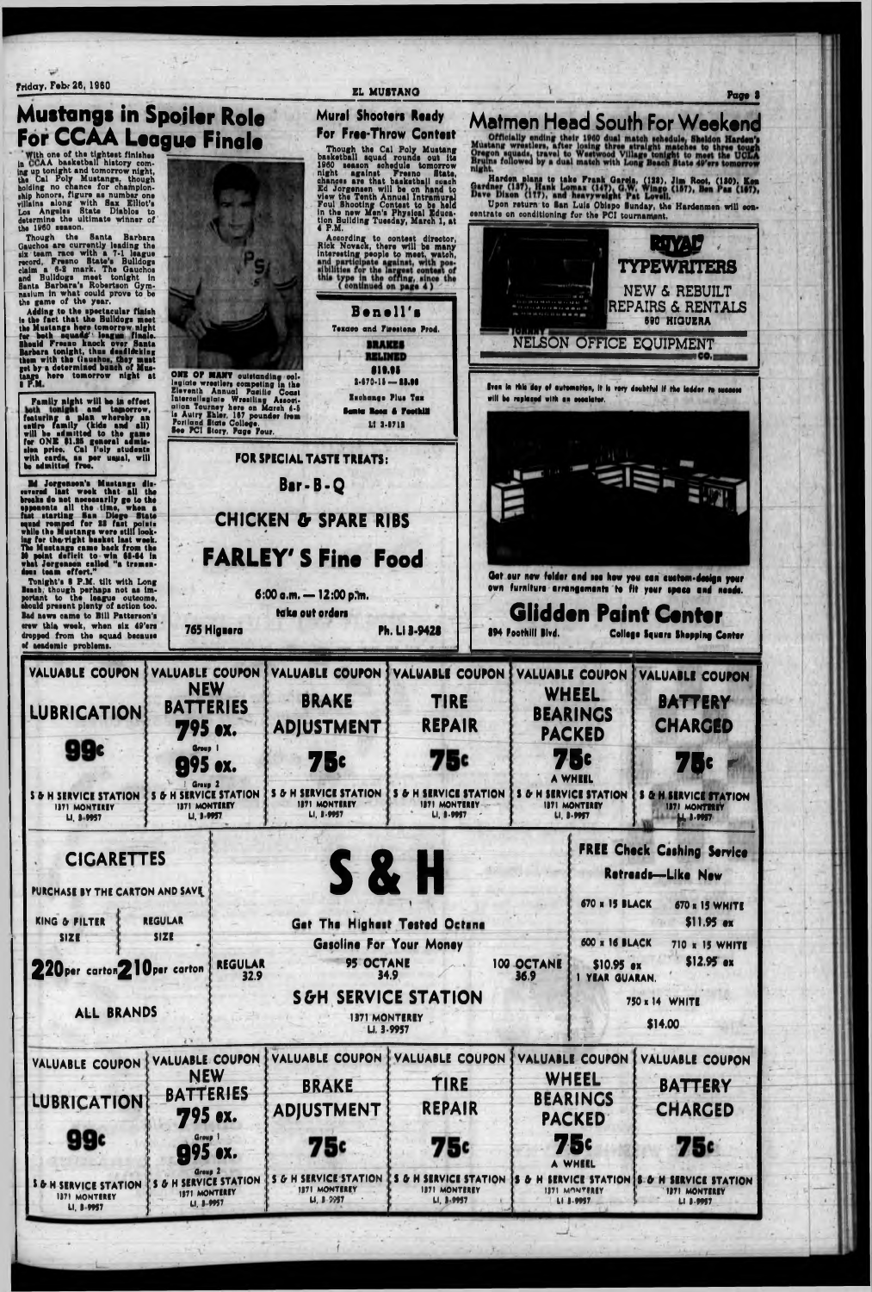**Friday, Feb. 26, 1960 EL MUSTANG** 

**Mustangs in Spoiler Role For CCAA League Finale**

**Page I**

With one of the tightest finishes<br>ing up tonight and tomorrow night,<br>the Cal Poly Mustangs, though 'AA basketball history coming up tonight nnd tomorrow night, the Cal Poly Mustangs, though holding no cnance for championship honors, figure as number one villains along with Bax Etliot'e Los Angelas State Diablos to dstsrmina the ultimate winner of

the 1960 season.<br>Though the Santa Barbara Though the Santa Barbara Qauchos are currently leading the six team race with a 7-1 league record, Fresno State's Bulldogs claim a 0-8 mark. The Qauchos and Bulldogs meet tonight In Santa Barbara's Robertson Gymnasium in what could prove to be the game of the year.

Adding to the spectacular finish<br>the fact that the Buildogs meet **Is** the fact that the Bulldogs meet the Mustange here tomorrow night for both squad#' longue finale. 8hould Fresno knock over Santa Barbara tonight, thus deadlifeking them with the (isurhos, they rnuet by a determined bunch of Musget by a determined bunch of mus-<br>tangs here tomorrow night at i p.m

**Mural Shootari Raady**

Family night will be in effect a**nd tamorrow,<br>In whereby an**<br>(kids and all) will be admitted to the game<br>for ONE \$1.25 general admis-<br>sion price. Cal l'oly students featuring a plan whereby an<br>entire family (kids and all) family (hide and all) featuring a **family (hide** will be admitted to the game for ONE \$1.15 general admiawith cards, as per usual, be admitted free. will



Ed Jorgoneon'e Mustangs discovered last week that all the breaks do not necessarily go to the opponents all the time, when a fut starting Ban Diego State ■quad romped for IS fast point\* while the Muetenge were etlll looking for tharight basket last week. The Mustange came back from the II paint deficit to win 61-64 In what Jorgenaan called "a tremendous team effort."

Tonight's I P.M. tilt with Long Besch, **though** perhaps not as important to tha league outcome, ahould present plenty of notion too. Bad news came to Bill Patterson's crew thin week, when aix 49'ara dropped from the squad because of academic problems.



## **FREE Check Cashing Ser**

![](_page_2_Figure_12.jpeg)